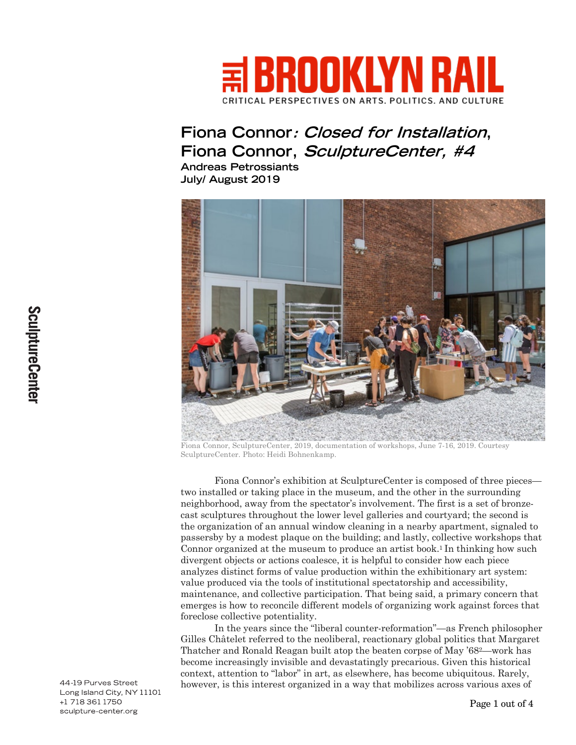

## **Fiona Connor: Closed for Installation, Fiona Connor, SculptureCenter, #4**

**Andreas Petrossiants July/ August 2019**



Fiona Connor, SculptureCenter, 2019, documentation of workshops, June 7-16, 2019. Courtesy SculptureCenter. Photo: Heidi Bohnenkamp.

Fiona Connor's exhibition at SculptureCenter is composed of three pieces two installed or taking place in the museum, and the other in the surrounding neighborhood, away from the spectator's involvement. The first is a set of bronzecast sculptures throughout the lower level galleries and courtyard; the second is the organization of an annual window cleaning in a nearby apartment, signaled to passersby by a modest plaque on the building; and lastly, collective workshops that Connor organized at the museum to produce an artist book.<sup>1</sup> In thinking how such divergent objects or actions coalesce, it is helpful to consider how each piece analyzes distinct forms of value production within the exhibitionary art system: value produced via the tools of institutional spectatorship and accessibility, maintenance, and collective participation. That being said, a primary concern that emerges is how to reconcile different models of organizing work against forces that foreclose collective potentiality.

In the years since the "liberal counter-reformation"—as French philosopher Gilles Châtelet referred to the neoliberal, reactionary global politics that Margaret Thatcher and Ronald Reagan built atop the beaten corpse of May '682—work has become increasingly invisible and devastatingly precarious. Given this historical context, attention to "labor" in art, as elsewhere, has become ubiquitous. Rarely, however, is this interest organized in a way that mobilizes across various axes of

44-19 Purves Street Long Island City, NY 11101 +1 718 361 1750 sculpture-center.org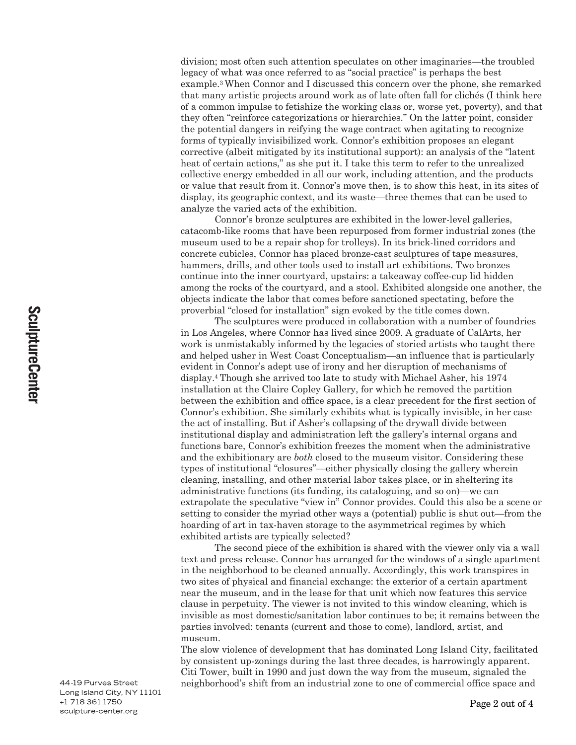division; most often such attention speculates on other imaginaries—the troubled legacy of what was once referred to as "social practice" is perhaps the best example.3 When Connor and I discussed this concern over the phone, she remarked that many artistic projects around work as of late often fall for clichés (I think here of a common impulse to fetishize the working class or, worse yet, poverty), and that they often "reinforce categorizations or hierarchies." On the latter point, consider the potential dangers in reifying the wage contract when agitating to recognize forms of typically invisibilized work. Connor's exhibition proposes an elegant corrective (albeit mitigated by its institutional support): an analysis of the "latent heat of certain actions," as she put it. I take this term to refer to the unrealized collective energy embedded in all our work, including attention, and the products or value that result from it. Connor's move then, is to show this heat, in its sites of display, its geographic context, and its waste—three themes that can be used to analyze the varied acts of the exhibition.

Connor's bronze sculptures are exhibited in the lower-level galleries, catacomb-like rooms that have been repurposed from former industrial zones (the museum used to be a repair shop for trolleys). In its brick-lined corridors and concrete cubicles, Connor has placed bronze-cast sculptures of tape measures, hammers, drills, and other tools used to install art exhibitions. Two bronzes continue into the inner courtyard, upstairs: a takeaway coffee-cup lid hidden among the rocks of the courtyard, and a stool. Exhibited alongside one another, the objects indicate the labor that comes before sanctioned spectating, before the proverbial "closed for installation" sign evoked by the title comes down.

The sculptures were produced in collaboration with a number of foundries in Los Angeles, where Connor has lived since 2009. A graduate of CalArts, her work is unmistakably informed by the legacies of storied artists who taught there and helped usher in West Coast Conceptualism—an influence that is particularly evident in Connor's adept use of irony and her disruption of mechanisms of display.4 Though she arrived too late to study with Michael Asher, his 1974 installation at the Claire Copley Gallery, for which he removed the partition between the exhibition and office space, is a clear precedent for the first section of Connor's exhibition. She similarly exhibits what is typically invisible, in her case the act of installing. But if Asher's collapsing of the drywall divide between institutional display and administration left the gallery's internal organs and functions bare, Connor's exhibition freezes the moment when the administrative and the exhibitionary are *both* closed to the museum visitor. Considering these types of institutional "closures"—either physically closing the gallery wherein cleaning, installing, and other material labor takes place, or in sheltering its administrative functions (its funding, its cataloguing, and so on)—we can extrapolate the speculative "view in" Connor provides. Could this also be a scene or setting to consider the myriad other ways a (potential) public is shut out—from the hoarding of art in tax-haven storage to the asymmetrical regimes by which exhibited artists are typically selected?

The second piece of the exhibition is shared with the viewer only via a wall text and press release. Connor has arranged for the windows of a single apartment in the neighborhood to be cleaned annually. Accordingly, this work transpires in two sites of physical and financial exchange: the exterior of a certain apartment near the museum, and in the lease for that unit which now features this service clause in perpetuity. The viewer is not invited to this window cleaning, which is invisible as most domestic/sanitation labor continues to be; it remains between the parties involved: tenants (current and those to come), landlord, artist, and museum.

The slow violence of development that has dominated Long Island City, facilitated by consistent up-zonings during the last three decades, is harrowingly apparent. Citi Tower, built in 1990 and just down the way from the museum, signaled the neighborhood's shift from an industrial zone to one of commercial office space and

44-19 Purves Street Long Island City, NY 11101 +1 718 361 1750 sculpture-center.org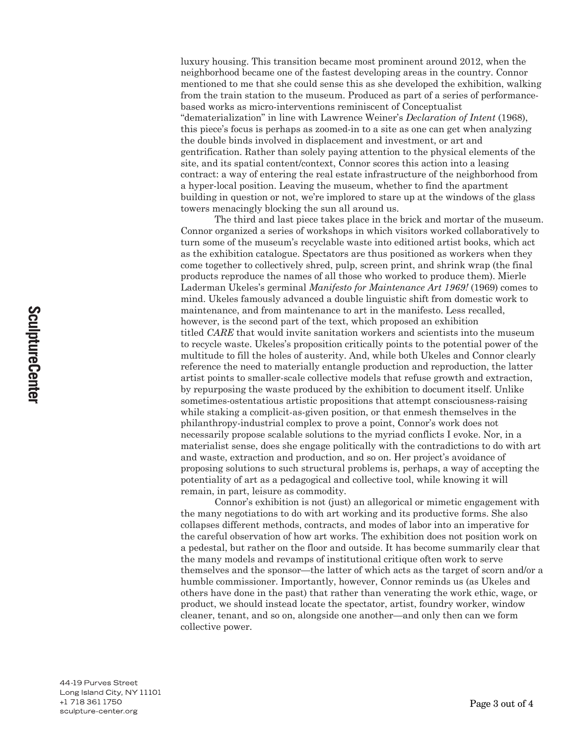luxury housing. This transition became most prominent around 2012, when the neighborhood became one of the fastest developing areas in the country. Connor mentioned to me that she could sense this as she developed the exhibition, walking from the train station to the museum. Produced as part of a series of performancebased works as micro-interventions reminiscent of Conceptualist "dematerialization" in line with Lawrence Weiner's *Declaration of Intent* (1968), this piece's focus is perhaps as zoomed-in to a site as one can get when analyzing the double binds involved in displacement and investment, or art and gentrification. Rather than solely paying attention to the physical elements of the site, and its spatial content/context, Connor scores this action into a leasing contract: a way of entering the real estate infrastructure of the neighborhood from a hyper-local position. Leaving the museum, whether to find the apartment building in question or not, we're implored to stare up at the windows of the glass towers menacingly blocking the sun all around us.

The third and last piece takes place in the brick and mortar of the museum. Connor organized a series of workshops in which visitors worked collaboratively to turn some of the museum's recyclable waste into editioned artist books, which act as the exhibition catalogue. Spectators are thus positioned as workers when they come together to collectively shred, pulp, screen print, and shrink wrap (the final products reproduce the names of all those who worked to produce them). Mierle Laderman Ukeles's germinal *Manifesto for Maintenance Art 1969!* (1969) comes to mind. Ukeles famously advanced a double linguistic shift from domestic work to maintenance, and from maintenance to art in the manifesto. Less recalled, however, is the second part of the text, which proposed an exhibition titled *CARE* that would invite sanitation workers and scientists into the museum to recycle waste. Ukeles's proposition critically points to the potential power of the multitude to fill the holes of austerity. And, while both Ukeles and Connor clearly reference the need to materially entangle production and reproduction, the latter artist points to smaller-scale collective models that refuse growth and extraction, by repurposing the waste produced by the exhibition to document itself. Unlike sometimes-ostentatious artistic propositions that attempt consciousness-raising while staking a complicit-as-given position, or that enmesh themselves in the philanthropy-industrial complex to prove a point, Connor's work does not necessarily propose scalable solutions to the myriad conflicts I evoke. Nor, in a materialist sense, does she engage politically with the contradictions to do with art and waste, extraction and production, and so on. Her project's avoidance of proposing solutions to such structural problems is, perhaps, a way of accepting the potentiality of art as a pedagogical and collective tool, while knowing it will remain, in part, leisure as commodity.

Connor's exhibition is not (just) an allegorical or mimetic engagement with the many negotiations to do with art working and its productive forms. She also collapses different methods, contracts, and modes of labor into an imperative for the careful observation of how art works. The exhibition does not position work on a pedestal, but rather on the floor and outside. It has become summarily clear that the many models and revamps of institutional critique often work to serve themselves and the sponsor—the latter of which acts as the target of scorn and/or a humble commissioner. Importantly, however, Connor reminds us (as Ukeles and others have done in the past) that rather than venerating the work ethic, wage, or product, we should instead locate the spectator, artist, foundry worker, window cleaner, tenant, and so on, alongside one another—and only then can we form collective power.